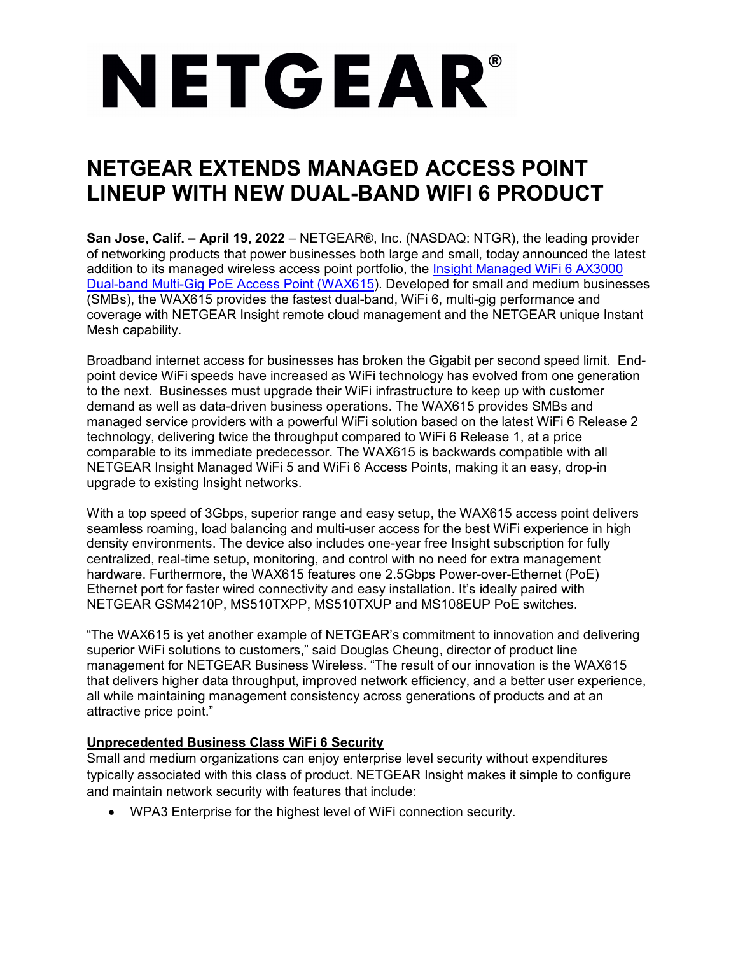# NETGEAR®

# **NETGEAR EXTENDS MANAGED ACCESS POINT LINEUP WITH NEW DUAL-BAND WIFI 6 PRODUCT**

**San Jose, Calif. – April 19, 2022** – NETGEAR®, Inc. (NASDAQ: NTGR), the leading provider of networking products that power businesses both large and small, today announced the latest addition to its managed wireless access point portfolio, the [Insight Managed WiFi 6 AX3000](http://www.netgear.com/wax615)  [Dual-band Multi-Gig PoE Access Point \(WAX615\)](http://www.netgear.com/wax615). Developed for small and medium businesses (SMBs), the WAX615 provides the fastest dual-band, WiFi 6, multi-gig performance and coverage with NETGEAR Insight remote cloud management and the NETGEAR unique Instant Mesh capability.

Broadband internet access for businesses has broken the Gigabit per second speed limit. Endpoint device WiFi speeds have increased as WiFi technology has evolved from one generation to the next. Businesses must upgrade their WiFi infrastructure to keep up with customer demand as well as data-driven business operations. The WAX615 provides SMBs and managed service providers with a powerful WiFi solution based on the latest WiFi 6 Release 2 technology, delivering twice the throughput compared to WiFi 6 Release 1, at a price comparable to its immediate predecessor. The WAX615 is backwards compatible with all NETGEAR Insight Managed WiFi 5 and WiFi 6 Access Points, making it an easy, drop-in upgrade to existing Insight networks.

With a top speed of 3Gbps, superior range and easy setup, the WAX615 access point delivers seamless roaming, load balancing and multi-user access for the best WiFi experience in high density environments. The device also includes one-year free Insight subscription for fully centralized, real-time setup, monitoring, and control with no need for extra management hardware. Furthermore, the WAX615 features one 2.5Gbps Power-over-Ethernet (PoE) Ethernet port for faster wired connectivity and easy installation. It's ideally paired with NETGEAR GSM4210P, MS510TXPP, MS510TXUP and MS108EUP PoE switches.

"The WAX615 is yet another example of NETGEAR's commitment to innovation and delivering superior WiFi solutions to customers," said Douglas Cheung, director of product line management for NETGEAR Business Wireless. "The result of our innovation is the WAX615 that delivers higher data throughput, improved network efficiency, and a better user experience, all while maintaining management consistency across generations of products and at an attractive price point."

## **Unprecedented Business Class WiFi 6 Security**

Small and medium organizations can enjoy enterprise level security without expenditures typically associated with this class of product. NETGEAR Insight makes it simple to configure and maintain network security with features that include:

• WPA3 Enterprise for the highest level of WiFi connection security.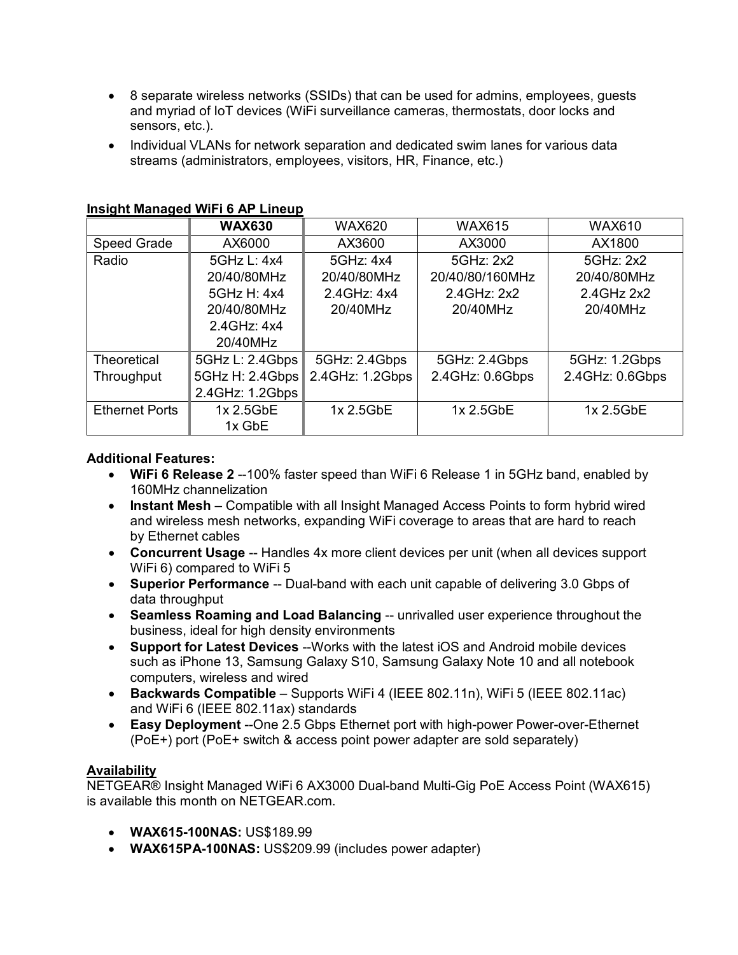- 8 separate wireless networks (SSIDs) that can be used for admins, employees, guests and myriad of IoT devices (WiFi surveillance cameras, thermostats, door locks and sensors, etc.).
- Individual VLANs for network separation and dedicated swim lanes for various data streams (administrators, employees, visitors, HR, Finance, etc.)

|                       | <b>WAX630</b>   | <b>WAX620</b>   | <b>WAX615</b>   | <b>WAX610</b>   |
|-----------------------|-----------------|-----------------|-----------------|-----------------|
| Speed Grade           | AX6000          | AX3600          | AX3000          | AX1800          |
| Radio                 | 5GHz L: 4x4     | 5GHz: 4x4       | 5GHz: 2x2       | 5GHz: 2x2       |
|                       | 20/40/80MHz     | 20/40/80MHz     | 20/40/80/160MHz | 20/40/80MHz     |
|                       | 5GHz H: 4x4     | 2.4 GHz: 4x4    | 2.4 GHz: 2x2    | 2.4 GHz 2x2     |
|                       | 20/40/80MHz     | 20/40MHz        | 20/40MHz        | 20/40MHz        |
|                       | 2.4 GHz: 4x4    |                 |                 |                 |
|                       | 20/40MHz        |                 |                 |                 |
| <b>Theoretical</b>    | 5GHz L: 2.4Gbps | 5GHz: 2.4Gbps   | 5GHz: 2.4Gbps   | 5GHz: 1.2Gbps   |
| Throughput            | 5GHz H: 2.4Gbps | 2.4GHz: 1.2Gbps | 2.4GHz: 0.6Gbps | 2.4GHz: 0.6Gbps |
|                       | 2.4GHz: 1.2Gbps |                 |                 |                 |
| <b>Ethernet Ports</b> | 1x 2.5GbE       | 1x 2.5GbE       | 1x 2.5GbE       | 1x 2.5GbE       |
|                       | 1x GbE          |                 |                 |                 |

#### **Insight Managed WiFi 6 AP Lineup**

#### **Additional Features:**

- **WiFi 6 Release 2** --100% faster speed than WiFi 6 Release 1 in 5GHz band, enabled by 160MHz channelization
- **Instant Mesh**  Compatible with all Insight Managed Access Points to form hybrid wired and wireless mesh networks, expanding WiFi coverage to areas that are hard to reach by Ethernet cables
- **Concurrent Usage** -- Handles 4x more client devices per unit (when all devices support WiFi 6) compared to WiFi 5
- **Superior Performance** -- Dual-band with each unit capable of delivering 3.0 Gbps of data throughput
- **Seamless Roaming and Load Balancing** -- unrivalled user experience throughout the business, ideal for high density environments
- **Support for Latest Devices** --Works with the latest iOS and Android mobile devices such as iPhone 13, Samsung Galaxy S10, Samsung Galaxy Note 10 and all notebook computers, wireless and wired
- **Backwards Compatible** Supports WiFi 4 (IEEE 802.11n), WiFi 5 (IEEE 802.11ac) and WiFi 6 (IEEE 802.11ax) standards
- **Easy Deployment** --One 2.5 Gbps Ethernet port with high-power Power-over-Ethernet (PoE+) port (PoE+ switch & access point power adapter are sold separately)

## **Availability**

NETGEAR® Insight Managed WiFi 6 AX3000 Dual-band Multi-Gig PoE Access Point (WAX615) is available this month on NETGEAR.com.

- **WAX615-100NAS:** US\$189.99
- **WAX615PA-100NAS:** US\$209.99 (includes power adapter)